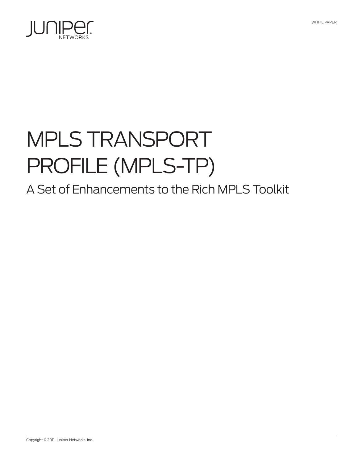

# MPLS Transport Profile (MPLS-TP)

# A Set of Enhancements to the Rich MPLS Toolkit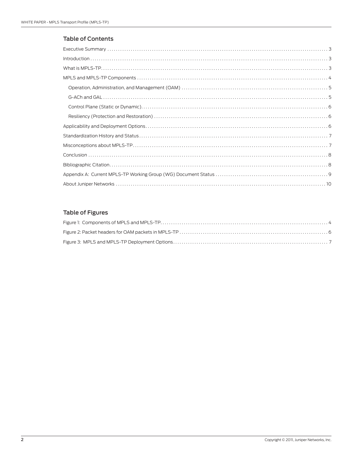## Table of Contents

# Table of Figures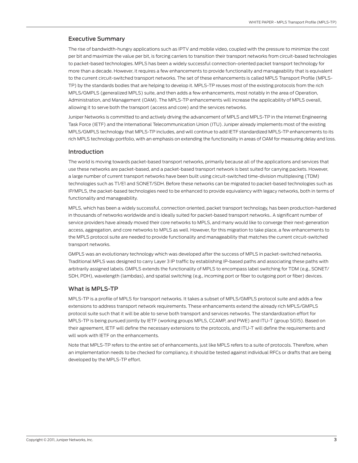#### <span id="page-2-0"></span>Executive Summary

The rise of bandwidth-hungry applications such as IPTV and mobile video, coupled with the pressure to minimize the cost per bit and maximize the value per bit, is forcing carriers to transition their transport networks from circuit-based technologies to packet-based technologies. MPLS has been a widely successful connection-oriented packet transport technology for more than a decade. However, it requires a few enhancements to provide functionality and manageability that is equivalent to the current circuit-switched transport networks. The set of these enhancements is called MPLS Transport Profile (MPLS-TP) by the standards bodies that are helping to develop it. MPLS-TP reuses most of the existing protocols from the rich MPLS/GMPLS (generalized MPLS) suite, and then adds a few enhancements, most notably in the area of Operation, Administration, and Management (OAM). The MPLS-TP enhancements will increase the applicability of MPLS overall, allowing it to serve both the transport (access and core) and the services networks.

Juniper Networks is committed to and actively driving the advancement of MPLS and MPLS-TP in the Internet Engineering Task Force (IETF) and the International Telecommunication Union (ITU). Juniper already implements most of the existing MPLS/GMPLS technology that MPLS-TP includes, and will continue to add IETF standardized MPLS-TP enhancements to its rich MPLS technology portfolio, with an emphasis on extending the functionality in areas of OAM for measuring delay and loss.

#### Introduction

The world is moving towards packet-based transport networks, primarily because all of the applications and services that use these networks are packet-based, and a packet-based transport network is best suited for carrying packets. However, a large number of current transport networks have been built using circuit-switched time-division multiplexing (TDM) technologies such as T1/E1 and SONET/SDH. Before these networks can be migrated to packet-based technologies such as IP/MPLS, the packet-based technologies need to be enhanced to provide equivalency with legacy networks, both in terms of functionality and manageability.

MPLS, which has been a widely successful, connection oriented, packet transport technology, has been production-hardened in thousands of networks worldwide and is ideally suited for packet-based transport networks.. A significant number of service providers have already moved their core networks to MPLS, and many would like to converge their next-generation access, aggregation, and core networks to MPLS as well. However, for this migration to take place, a few enhancements to the MPLS protocol suite are needed to provide functionality and manageability that matches the current circuit-switched transport networks.

GMPLS was an evolutionary technology which was developed after the success of MPLS in packet-switched networks. Traditional MPLS was designed to carry Layer 3 IP traffic by establishing IP-based paths and associating these paths with arbitrarily assigned labels. GMPLS extends the functionality of MPLS to encompass label switching for TDM (e.g., SONET/ SDH, PDH), wavelength (lambdas), and spatial switching (e.g., incoming port or fiber to outgoing port or fiber) devices.

#### What is MPLS-TP

MPLS-TP is a profile of MPLS for transport networks. It takes a subset of MPLS/GMPLS protocol suite and adds a few extensions to address transport network requirements. These enhancements extend the already rich MPLS/GMPLS protocol suite such that it will be able to serve both transport and services networks. The standardization effort for MPLS-TP is being pursued jointly by IETF (working groups MPLS, CCAMP, and PWE) and ITU-T (group SG15). Based on their agreement, IETF will define the necessary extensions to the protocols, and ITU-T will define the requirements and will work with IETF on the enhancements.

Note that MPLS-TP refers to the entire set of enhancements, just like MPLS refers to a suite of protocols. Therefore, when an implementation needs to be checked for compliancy, it should be tested against individual RFCs or drafts that are being developed by the MPLS-TP effort.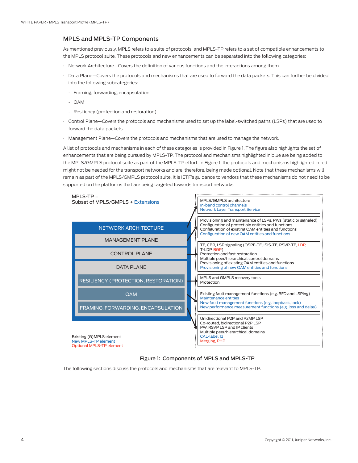#### <span id="page-3-0"></span>MPLS and MPLS-TP Components

As mentioned previously, MPLS refers to a suite of protocols, and MPLS-TP refers to a set of compatible enhancements to the MPLS protocol suite. These protocols and new enhancements can be separated into the following categories:

- Network Architecture—Covers the definition of various functions and the interactions among them.
- Data Plane—Covers the protocols and mechanisms that are used to forward the data packets. This can further be divided into the following subcategories:
	- Framing, forwarding, encapsulation
	- OAM
	- Resiliency (protection and restoration)
- Control Plane—Covers the protocols and mechanisms used to set up the label-switched paths (LSPs) that are used to forward the data packets.
- Management Plane—Covers the protocols and mechanisms that are used to manage the network.

A list of protocols and mechanisms in each of these categories is provided in Figure 1. The figure also highlights the set of enhancements that are being pursued by MPLS-TP. The protocol and mechanisms highlighted in blue are being added to the MPLS/GMPLS protocol suite as part of the MPLS-TP effort. In Figure 1, the protocols and mechanisms highlighted in red might not be needed for the transport networks and are, therefore, being made optional. Note that these mechanisms will remain as part of the MPLS/GMPLS protocol suite. It is IETF's guidance to vendors that these mechanisms do not need to be supported on the platforms that are being targeted towards transport networks.



#### Figure 1: Components of MPLS and MPLS-TP

The following sections discuss the protocols and mechanisms that are relevant to MPLS-TP.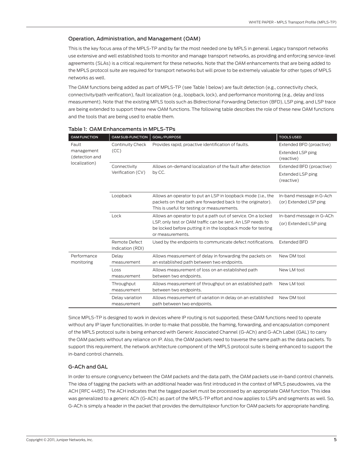#### <span id="page-4-0"></span>Operation, Administration, and Management (OAM)

This is the key focus area of the MPLS-TP and by far the most needed one by MPLS in general. Legacy transport networks use extensive and well established tools to monitor and manage transport networks, as providing and enforcing service-level agreements (SLAs) is a critical requirement for these networks. Note that the OAM enhancements that are being added to the MPLS protocol suite are required for transport networks but will prove to be extremely valuable for other types of MPLS networks as well.

The OAM functions being added as part of MPLS-TP (see Table 1 below) are fault detection (e.g., connectivity check, connectivity/path verification), fault localization (e.g., loopback, lock), and performance monitoring (e.g., delay and loss measurement). Note that the existing MPLS tools such as Bidirectional Forwarding Detection (BFD), LSP ping, and LSP trace are being extended to support these new OAM functions. The following table describes the role of these new OAM functions and the tools that are being used to enable them.

| <b>OAM FUNCTION</b>                                    | <b>OAM SUB-FUNCTION</b>           | GOAL/PURPOSE                                                                                                                                                                                                   | <b>TOOLS USED</b>                                  |
|--------------------------------------------------------|-----------------------------------|----------------------------------------------------------------------------------------------------------------------------------------------------------------------------------------------------------------|----------------------------------------------------|
| Fault<br>management<br>(detection and<br>localization) | Continuity Check<br>(CC)          | Provides rapid, proactive identification of faults.                                                                                                                                                            | Extended BFD (proactive)                           |
|                                                        |                                   |                                                                                                                                                                                                                | <b>Extended LSP ping</b><br>(reactive)             |
|                                                        | Connectivity<br>Verification (CV) | Allows on-demand localization of the fault after detection<br>by CC.                                                                                                                                           | Extended BFD (proactive)                           |
|                                                        |                                   |                                                                                                                                                                                                                | Extended LSP ping<br>(reactive)                    |
|                                                        | Loopback                          | Allows an operator to put an LSP in loopback mode (i.e., the<br>packets on that path are forwarded back to the originator).<br>This is useful for testing or measurements.                                     | In-band message in G-Ach<br>(or) Extended LSP ping |
|                                                        | Lock                              | Allows an operator to put a path out of service. On a locked<br>LSP, only test or OAM traffic can be sent. An LSP needs to<br>be locked before putting it in the loopback mode for testing<br>or measurements. | In-band message in G-ACh                           |
|                                                        |                                   |                                                                                                                                                                                                                | (or) Extended LSP ping                             |
|                                                        | Remote Defect<br>Indication (RDI) | Used by the endpoints to communicate defect notifications.                                                                                                                                                     | <b>Extended BFD</b>                                |
| Performance<br>monitoring                              | Delav<br>measurement              | Allows measurement of delay in forwarding the packets on<br>an established path between two endpoints.                                                                                                         | New DM tool                                        |
|                                                        | Loss<br>measurement               | Allows measurement of loss on an established path<br>between two endpoints.                                                                                                                                    | New LM tool                                        |
|                                                        | Throughput<br>measurement         | Allows measurement of throughput on an established path<br>between two endpoints.                                                                                                                              | New LM tool                                        |
|                                                        | Delay variation<br>measurement    | Allows measurement of variation in delay on an established<br>path between two endpoints.                                                                                                                      | New DM tool                                        |

Table 1: OAM Enhancements in MPLS-TPs

Since MPLS-TP is designed to work in devices where IP routing is not supported, these OAM functions need to operate without any IP layer functionalities. In order to make that possible, the framing, forwarding, and encapsulation component of the MPLS protocol suite is being enhanced with Generic Associated Channel (G-ACh) and G-ACh Label (GAL) to carry the OAM packets without any reliance on IP. Also, the OAM packets need to traverse the same path as the data packets. To support this requirement, the network architecture component of the MPLS protocol suite is being enhanced to support the in-band control channels.

#### G-ACh and GAL

In order to ensure congruency between the OAM packets and the data path, the OAM packets use in-band control channels. The idea of tagging the packets with an additional header was first introduced in the context of MPLS pseudowires, via the ACH [RFC 4485]. The ACH indicates that the tagged packet must be processed by an appropriate OAM function. This idea was generalized to a generic ACh (G-ACh) as part of the MPLS-TP effort and now applies to LSPs and segments as well. So, G-ACh is simply a header in the packet that provides the demultiplexor function for OAM packets for appropriate handling.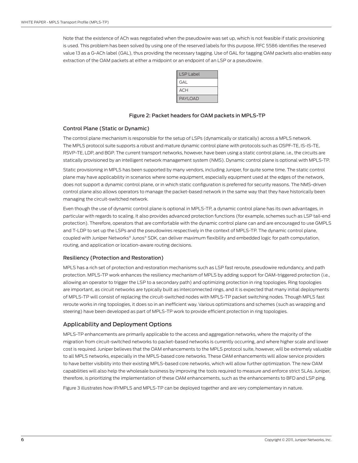<span id="page-5-0"></span>Note that the existence of ACh was negotiated when the pseudowire was set up, which is not feasible if static provisioning is used. This problem has been solved by using one of the reserved labels for this purpose. RFC 5586 identifies the reserved value 13 as a G-ACh label (GAL), thus providing the necessary tagging. Use of GAL for tagging OAM packets also enables easy extraction of the OAM packets at either a midpoint or an endpoint of an LSP or a pseudowire.

| <b>LSP Label</b> |  |
|------------------|--|
| <b>GAL</b>       |  |
| <b>ACH</b>       |  |
| <b>PAYLOAD</b>   |  |

#### Figure 2: Packet headers for OAM packets in MPLS-TP

#### Control Plane (Static or Dynamic)

The control plane mechanism is responsible for the setup of LSPs (dynamically or statically) across a MPLS network. The MPLS protocol suite supports a robust and mature dynamic control plane with protocols such as OSPF-TE, IS-IS-TE, RSVP-TE, LDP, and BGP. The current transport networks, however, have been using a static control plane, i.e., the circuits are statically provisioned by an intelligent network management system (NMS). Dynamic control plane is optional with MPLS-TP.

Static provisioning in MPLS has been supported by many vendors, including Juniper, for quite some time. The static control plane may have applicability in scenarios where some equipment, especially equipment used at the edges of the network, does not support a dynamic control plane, or in which static configuration is preferred for security reasons. The NMS-driven control plane also allows operators to manage the packet-based network in the same way that they have historically been managing the circuit-switched network.

Even though the use of dynamic control plane is optional in MPLS-TP, a dynamic control plane has its own advantages, in particular with regards to scaling. It also provides advanced protection functions (for example, schemes such as LSP tail-end protection). Therefore, operators that are comfortable with the dynamic control plane can and are encouraged to use GMPLS and T-LDP to set up the LSPs and the pseudowires respectively in the context of MPLS-TP. The dynamic control plane, coupled with Juniper Networks® Junos® SDK, can deliver maximum flexibility and embedded logic for path computation, routing, and application or location-aware routing decisions.

#### Resiliency (Protection and Restoration)

MPLS has a rich set of protection and restoration mechanisms such as LSP fast reroute, pseudowire redundancy, and path protection. MPLS-TP work enhances the resiliency mechanism of MPLS by adding support for OAM-triggered protection (i.e., allowing an operator to trigger the LSP to a secondary path) and optimizing protection in ring topologies. Ring topologies are important, as circuit networks are typically built as interconnected rings, and it is expected that many initial deployments of MPLS-TP will consist of replacing the circuit-switched nodes with MPLS-TP packet switching nodes. Though MPLS fast reroute works in ring topologies, it does so in an inefficient way. Various optimizations and schemes (such as wrapping and steering) have been developed as part of MPLS-TP work to provide efficient protection in ring topologies.

### Applicability and Deployment Options

MPLS-TP enhancements are primarily applicable to the access and aggregation networks, where the majority of the migration from circuit-switched networks to packet-based networks is currently occurring, and where higher scale and lower cost is required. Juniper believes that the OAM enhancements to the MPLS protocol suite, however, will be extremely valuable to all MPLS networks, especially in the MPLS-based core networks. These OAM enhancements will allow service providers to have better visibility into their existing MPLS-based core networks, which will allow further optimization. The new OAM capabilities will also help the wholesale business by improving the tools required to measure and enforce strict SLAs. Juniper, therefore, is prioritizing the implementation of these OAM enhancements, such as the enhancements to BFD and LSP ping.

Figure 3 illustrates how IP/MPLS and MPLS-TP can be deployed together and are very complementary in nature.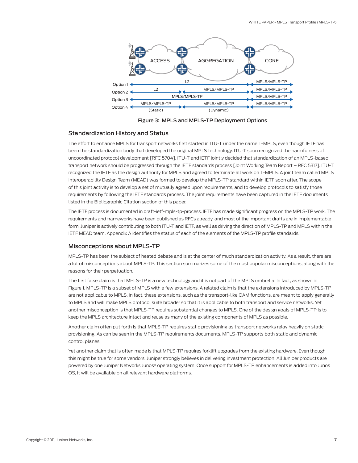<span id="page-6-0"></span>

Figure 3: MPLS and MPLS-TP Deployment Options

#### Standardization History and Status

The effort to enhance MPLS for transport networks first started in ITU-T under the name T-MPLS, even though IETF has been the standardization body that developed the original MPLS technology. ITU-T soon recognized the harmfulness of uncoordinated protocol development [RFC 5704]. ITU-T and IETF jointly decided that standardization of an MPLS-based transport network should be progressed through the IETF standards process [Joint Working Team Report – RFC 5317]. ITU-T recognized the IETF as the design authority for MPLS and agreed to terminate all work on T-MPLS. A joint team called MPLS Interoperability Design Team (MEAD) was formed to develop the MPLS-TP standard within IETF soon after. The scope of this joint activity is to develop a set of mutually agreed upon requirements, and to develop protocols to satisfy those requirements by following the IETF standards process. The joint requirements have been captured in the IETF documents listed in the Bibliographic Citation section of this paper.

The IETF process is documented in draft-ietf-mpls-tp-process. IETF has made significant progress on the MPLS-TP work. The requirements and frameworks have been published as RFCs already, and most of the important drafts are in implementable form. Juniper is actively contributing to both ITU-T and IETF, as well as driving the direction of MPLS-TP and MPLS within the IETF MEAD team. Appendix A identifies the status of each of the elements of the MPLS-TP profile standards.

#### Misconceptions about MPLS-TP

MPLS-TP has been the subject of heated debate and is at the center of much standardization activity. As a result, there are a lot of misconceptions about MPLS-TP. This section summarizes some of the most popular misconceptions, along with the reasons for their perpetuation.

The first false claim is that MPLS-TP is a new technology and it is not part of the MPLS umbrella. In fact, as shown in Figure 1, MPLS-TP is a subset of MPLS with a few extensions. A related claim is that the extensions introduced by MPLS-TP are not applicable to MPLS. In fact, these extensions, such as the transport-like OAM functions, are meant to apply generally to MPLS and will make MPLS protocol suite broader so that it is applicable to both transport and service networks. Yet another misconception is that MPLS-TP requires substantial changes to MPLS. One of the design goals of MPLS-TP is to keep the MPLS architecture intact and reuse as many of the existing components of MPLS as possible.

Another claim often put forth is that MPLS-TP requires static provisioning as transport networks relay heavily on static provisioning. As can be seen in the MPLS-TP requirements documents, MPLS-TP supports both static and dynamic control planes.

Yet another claim that is often made is that MPLS-TP requires forklift upgrades from the existing hardware. Even though this might be true for some vendors, Juniper strongly believes in delivering investment protection. All Juniper products are powered by one Juniper Networks Junos® operating system. Once support for MPLS-TP enhancements is added into Junos OS, it will be available on all relevant hardware platforms.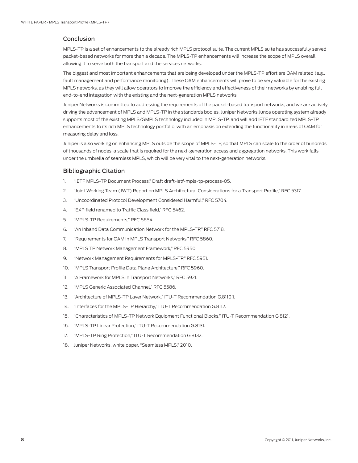#### <span id="page-7-0"></span>Conclusion

MPLS-TP is a set of enhancements to the already rich MPLS protocol suite. The current MPLS suite has successfully served packet-based networks for more than a decade. The MPLS-TP enhancements will increase the scope of MPLS overall, allowing it to serve both the transport and the services networks.

The biggest and most important enhancements that are being developed under the MPLS-TP effort are OAM related (e.g., fault management and performance monitoring). These OAM enhancements will prove to be very valuable for the existing MPLS networks, as they will allow operators to improve the efficiency and effectiveness of their networks by enabling full end-to-end integration with the existing and the next-generation MPLS networks.

Juniper Networks is committed to addressing the requirements of the packet-based transport networks, and we are actively driving the advancement of MPLS and MPLS-TP in the standards bodies. Juniper Networks Junos operating system already supports most of the existing MPLS/GMPLS technology included in MPLS-TP, and will add IETF standardized MPLS-TP enhancements to its rich MPLS technology portfolio, with an emphasis on extending the functionality in areas of OAM for measuring delay and loss.

Juniper is also working on enhancing MPLS outside the scope of MPLS-TP, so that MPLS can scale to the order of hundreds of thousands of nodes, a scale that is required for the next-generation access and aggregation networks. This work falls under the umbrella of seamless MPLS, which will be very vital to the next-generation networks.

#### Bibliographic Citation

- 1. "IETF MPLS-TP Document Process," Draft draft-ietf-mpls-tp-process-05.
- 2. "Joint Working Team (JWT) Report on MPLS Architectural Considerations for a Transport Profile," RFC 5317.
- 3. "Uncoordinated Protocol Development Considered Harmful," RFC 5704.
- 4. "EXP field renamed to Traffic Class field," RFC 5462.
- 5. "MPLS-TP Requirements," RFC 5654.
- 6. "An Inband Data Communication Network for the MPLS-TP," RFC 5718.
- 7. "Requirements for OAM in MPLS Transport Networks," RFC 5860.
- 8. "MPLS TP Network Management Framework," RFC 5950.
- 9. "Network Management Requirements for MPLS-TP," RFC 5951.
- 10. "MPLS Transport Profile Data Plane Architecture," RFC 5960.
- 11. "A Framework for MPLS in Transport Networks," RFC 5921.
- 12. "MPLS Generic Associated Channel," RFC 5586.
- 13. "Architecture of MPLS-TP Layer Network," ITU-T Recommendation G.8110.1.
- 14. "Interfaces for the MPLS-TP Hierarchy," ITU-T Recommendation G.8112.
- 15. "Characteristics of MPLS-TP Network Equipment Functional Blocks," ITU-T Recommendation G.8121.
- 16. "MPLS-TP Linear Protection," ITU-T Recommendation G.8131.
- 17. "MPLS-TP Ring Protection," ITU-T Recommendation G.8132.
- 18. Juniper Networks, white paper, "Seamless MPLS," 2010.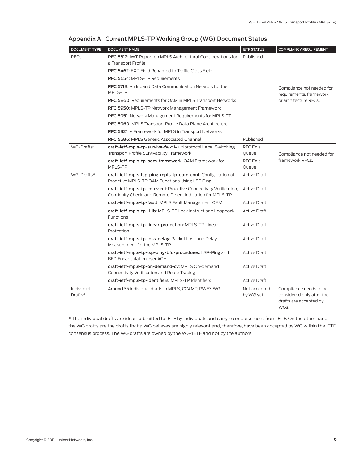| DOCUMENT TYPE         | <b>DOCUMENT NAME</b>                                                                                                             | <b>IETF STATUS</b>        | <b>COMPLIANCY REQUIREMENT</b>                                                         |  |
|-----------------------|----------------------------------------------------------------------------------------------------------------------------------|---------------------------|---------------------------------------------------------------------------------------|--|
| <b>RFCs</b>           | RFC 5317: JWT Report on MPLS Architectural Considerations for<br>a Transport Profile                                             | Published                 |                                                                                       |  |
|                       | RFC 5462: EXP Field Renamed to Traffic Class Field                                                                               |                           |                                                                                       |  |
|                       | RFC 5654: MPLS-TP Requirements                                                                                                   |                           | Compliance not needed for<br>requirements, framework,                                 |  |
|                       | <b>RFC 5718:</b> An Inband Data Communication Network for the<br>MPLS-TP                                                         |                           |                                                                                       |  |
|                       | RFC 5860: Requirements for OAM in MPLS Transport Networks                                                                        |                           | or architecture RFCs.                                                                 |  |
|                       | RFC 5950: MPLS-TP Network Management Framework                                                                                   |                           |                                                                                       |  |
|                       | RFC 5951: Network Management Requirements for MPLS-TP                                                                            |                           |                                                                                       |  |
|                       | RFC 5960: MPLS Transport Profile Data Plane Architecture                                                                         |                           |                                                                                       |  |
|                       | RFC 5921: A Framework for MPLS in Transport Networks                                                                             |                           |                                                                                       |  |
|                       | RFC 5586: MPLS Generic Associated Channel                                                                                        | Published                 |                                                                                       |  |
| WG-Drafts*            | draft-ietf-mpls-tp-survive-fwk: Multiprotocol Label Switching                                                                    | RFC Ed's                  |                                                                                       |  |
|                       | Transport Profile Survivability Framework                                                                                        | Queue                     | Compliance not needed for                                                             |  |
|                       | draft-ietf-mpls-tp-oam-framework: OAM Framework for                                                                              | RFC Ed's                  | framework RFCs.                                                                       |  |
| WG-Drafts*            | MPLS-TP                                                                                                                          | Queue                     |                                                                                       |  |
|                       | draft-ietf-mpls-lsp-ping-mpls-tp-oam-conf: Configuration of<br>Proactive MPLS-TP OAM Functions Using LSP Ping                    | <b>Active Draft</b>       |                                                                                       |  |
|                       | draft-ietf-mpls-tp-cc-cv-rdi: Proactive Connectivity Verification,<br>Continuity Check, and Remote Defect Indication for MPLS-TP | <b>Active Draft</b>       |                                                                                       |  |
|                       | draft-ietf-mpls-tp-fault: MPLS Fault Management OAM                                                                              | <b>Active Draft</b>       |                                                                                       |  |
|                       | draft-ietf-mpls-tp-li-lb: MPLS-TP Lock Instruct and Loopback<br>Functions                                                        | <b>Active Draft</b>       |                                                                                       |  |
|                       | draft-ietf-mpls-tp-linear-protection: MPLS-TP Linear<br>Protection                                                               | <b>Active Draft</b>       |                                                                                       |  |
|                       | draft-ietf-mpls-tp-loss-delay: Packet Loss and Delay<br>Measurement for the MPLS-TP                                              | <b>Active Draft</b>       |                                                                                       |  |
|                       | draft-ietf-mpls-tp-lsp-ping-bfd-procedures: LSP-Ping and<br>BFD Encapsulation over ACH                                           | <b>Active Draft</b>       |                                                                                       |  |
|                       | draft-ietf-mpls-tp-on-demand-cv: MPLS On-demand<br>Connectivity Verification and Route Tracing                                   | <b>Active Draft</b>       |                                                                                       |  |
|                       | draft-ietf-mpls-tp-identifiers: MPLS-TP Identifiers                                                                              | <b>Active Draft</b>       |                                                                                       |  |
| Individual<br>Drafts* | Around 35 individual drafts in MPLS, CCAMP, PWE3 WG                                                                              | Not accepted<br>by WG yet | Compliance needs to be<br>considered only after the<br>drafts are accepted by<br>WGs. |  |

#### <span id="page-8-0"></span>Appendix A: Current MPLS-TP Working Group (WG) Document Status

\* The individual drafts are ideas submitted to IETF by individuals and carry no endorsement from IETF. On the other hand, the WG drafts are the drafts that a WG believes are highly relevant and, therefore, have been accepted by WG within the IETF consensus process. The WG drafts are owned by the WG/IETF and not by the authors.